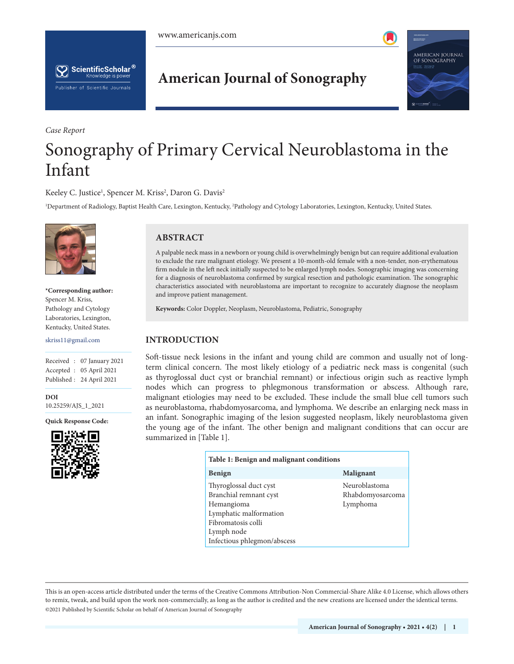

AMERICAN JOURNAL<br>Of Sonography

# **American Journal of Sonography**

# *Case Report* Sonography of Primary Cervical Neuroblastoma in the Infant

## Keeley C. Justice<sup>1</sup>, Spencer M. Kriss<sup>2</sup>, Daron G. Davis<sup>2</sup>

<sup>1</sup>Department of Radiology, Baptist Health Care, Lexington, Kentucky, <sup>2</sup>Pathology and Cytology Laboratories, Lexington, Kentucky, United States.



 $\left[\bigtimes\right]$  ScientificScholar  $^{\circ}$ Knowledge is power

Publisher of Scientific Journals

**\*Corresponding author:** Spencer M. Kriss, Pathology and Cytology Laboratories, Lexington, Kentucky, United States.

skriss11@gmail.com

Received : 07 January 2021 Accepted : 05 April 2021 Published : 24 April 2021

**[DOI](https://dx.doi.org/10.25259/AJS_1_2021)** [10.25259/AJS\\_1\\_2021](https://dx.doi.org/10.25259/AJS_1_2021)

**Quick Response Code:**



# **ABSTRACT**

A palpable neck mass in a newborn or young child is overwhelmingly benign but can require additional evaluation to exclude the rare malignant etiology. We present a 10-month-old female with a non-tender, non-erythematous firm nodule in the left neck initially suspected to be enlarged lymph nodes. Sonographic imaging was concerning for a diagnosis of neuroblastoma confirmed by surgical resection and pathologic examination. The sonographic characteristics associated with neuroblastoma are important to recognize to accurately diagnose the neoplasm and improve patient management.

**Keywords:** Color Doppler, Neoplasm, Neuroblastoma, Pediatric, Sonography

### **INTRODUCTION**

Soft-tissue neck lesions in the infant and young child are common and usually not of longterm clinical concern. The most likely etiology of a pediatric neck mass is congenital (such as thyroglossal duct cyst or branchial remnant) or infectious origin such as reactive lymph nodes which can progress to phlegmonous transformation or abscess. Although rare, malignant etiologies may need to be excluded. These include the small blue cell tumors such as neuroblastoma, rhabdomyosarcoma, and lymphoma. We describe an enlarging neck mass in an infant. Sonographic imaging of the lesion suggested neoplasm, likely neuroblastoma given the young age of the infant. The other benign and malignant conditions that can occur are summarized in [Table 1].

| Table 1: Benign and malignant conditions                                                                                                                    |                                               |
|-------------------------------------------------------------------------------------------------------------------------------------------------------------|-----------------------------------------------|
| <b>Benign</b>                                                                                                                                               | <b>Malignant</b>                              |
| Thyroglossal duct cyst<br>Branchial remnant cyst<br>Hemangioma<br>Lymphatic malformation<br>Fibromatosis colli<br>Lymph node<br>Infectious phlegmon/abscess | Neuroblastoma<br>Rhabdomyosarcoma<br>Lymphoma |

is is an open-access article distributed under the terms of the Creative Commons Attribution-Non Commercial-Share Alike 4.0 License, which allows others to remix, tweak, and build upon the work non-commercially, as long as the author is credited and the new creations are licensed under the identical terms. ©2021 Published by Scientific Scholar on behalf of American Journal of Sonography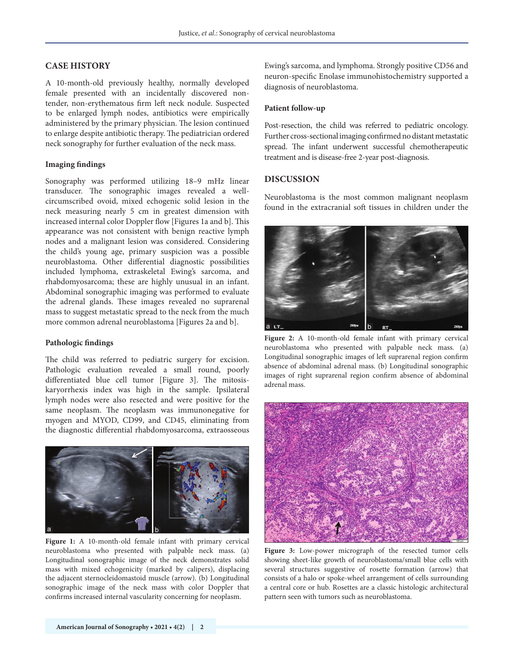# **CASE HISTORY**

A 10-month-old previously healthy, normally developed female presented with an incidentally discovered nontender, non-erythematous firm left neck nodule. Suspected to be enlarged lymph nodes, antibiotics were empirically administered by the primary physician. The lesion continued to enlarge despite antibiotic therapy. The pediatrician ordered neck sonography for further evaluation of the neck mass.

#### **Imaging findings**

Sonography was performed utilizing 18–9 mHz linear transducer. The sonographic images revealed a wellcircumscribed ovoid, mixed echogenic solid lesion in the neck measuring nearly 5 cm in greatest dimension with increased internal color Doppler flow [Figures 1a and b]. This appearance was not consistent with benign reactive lymph nodes and a malignant lesion was considered. Considering the child's young age, primary suspicion was a possible neuroblastoma. Other differential diagnostic possibilities included lymphoma, extraskeletal Ewing's sarcoma, and rhabdomyosarcoma; these are highly unusual in an infant. Abdominal sonographic imaging was performed to evaluate the adrenal glands. These images revealed no suprarenal mass to suggest metastatic spread to the neck from the much more common adrenal neuroblastoma [Figures 2a and b].

#### **Pathologic findings**

The child was referred to pediatric surgery for excision. Pathologic evaluation revealed a small round, poorly differentiated blue cell tumor [Figure 3]. The mitosiskaryorrhexis index was high in the sample. Ipsilateral lymph nodes were also resected and were positive for the same neoplasm. The neoplasm was immunonegative for myogen and MYOD, CD99, and CD45, eliminating from the diagnostic differential rhabdomyosarcoma, extraosseous



**Figure 1:** A 10-month-old female infant with primary cervical neuroblastoma who presented with palpable neck mass. (a) Longitudinal sonographic image of the neck demonstrates solid mass with mixed echogenicity (marked by calipers), displacing the adjacent sternocleidomastoid muscle (arrow). (b) Longitudinal sonographic image of the neck mass with color Doppler that confirms increased internal vascularity concerning for neoplasm.

Ewing's sarcoma, and lymphoma. Strongly positive CD56 and neuron-specific Enolase immunohistochemistry supported a diagnosis of neuroblastoma.

#### **Patient follow-up**

Post-resection, the child was referred to pediatric oncology. Further cross-sectional imaging confirmed no distant metastatic spread. The infant underwent successful chemotherapeutic treatment and is disease-free 2-year post-diagnosis.

#### **DISCUSSION**

Neuroblastoma is the most common malignant neoplasm found in the extracranial soft tissues in children under the



**Figure 2:** A 10-month-old female infant with primary cervical neuroblastoma who presented with palpable neck mass. (a) Longitudinal sonographic images of left suprarenal region confirm absence of abdominal adrenal mass. (b) Longitudinal sonographic images of right suprarenal region confirm absence of abdominal adrenal mass.



**Figure 3:** Low-power micrograph of the resected tumor cells showing sheet-like growth of neuroblastoma/small blue cells with several structures suggestive of rosette formation (arrow) that consists of a halo or spoke-wheel arrangement of cells surrounding a central core or hub. Rosettes are a classic histologic architectural pattern seen with tumors such as neuroblastoma.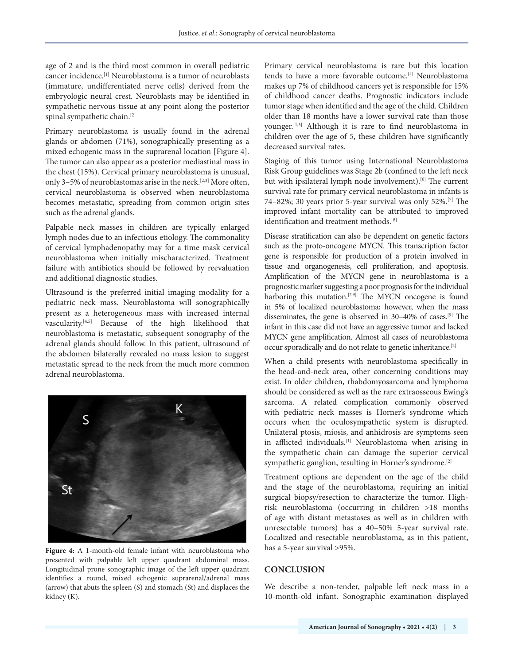age of 2 and is the third most common in overall pediatric cancer incidence.[1] Neuroblastoma is a tumor of neuroblasts (immature, undifferentiated nerve cells) derived from the embryologic neural crest. Neuroblasts may be identified in sympathetic nervous tissue at any point along the posterior spinal sympathetic chain.[2]

Primary neuroblastoma is usually found in the adrenal glands or abdomen (71%), sonographically presenting as a mixed echogenic mass in the suprarenal location [Figure 4]. The tumor can also appear as a posterior mediastinal mass in the chest (15%). Cervical primary neuroblastoma is unusual, only 3-5% of neuroblastomas arise in the neck.<sup>[2,3]</sup> More often, cervical neuroblastoma is observed when neuroblastoma becomes metastatic, spreading from common origin sites such as the adrenal glands.

Palpable neck masses in children are typically enlarged lymph nodes due to an infectious etiology. The commonality of cervical lymphadenopathy may for a time mask cervical neuroblastoma when initially mischaracterized. Treatment failure with antibiotics should be followed by reevaluation and additional diagnostic studies.

Ultrasound is the preferred initial imaging modality for a pediatric neck mass. Neuroblastoma will sonographically present as a heterogeneous mass with increased internal vascularity.[4,5] Because of the high likelihood that neuroblastoma is metastatic, subsequent sonography of the adrenal glands should follow. In this patient, ultrasound of the abdomen bilaterally revealed no mass lesion to suggest metastatic spread to the neck from the much more common adrenal neuroblastoma.



**Figure 4:** A 1-month-old female infant with neuroblastoma who presented with palpable left upper quadrant abdominal mass. Longitudinal prone sonographic image of the left upper quadrant identifies a round, mixed echogenic suprarenal/adrenal mass (arrow) that abuts the spleen (S) and stomach (St) and displaces the kidney (K).

Primary cervical neuroblastoma is rare but this location tends to have a more favorable outcome.[4] Neuroblastoma makes up 7% of childhood cancers yet is responsible for 15% of childhood cancer deaths. Prognostic indicators include tumor stage when identified and the age of the child. Children older than 18 months have a lower survival rate than those younger.[1,3] Although it is rare to find neuroblastoma in children over the age of 5, these children have significantly decreased survival rates.

Staging of this tumor using International Neuroblastoma Risk Group guidelines was Stage 2b (confined to the left neck but with ipsilateral lymph node involvement).<sup>[6]</sup> The current survival rate for primary cervical neuroblastoma in infants is 74–82%; 30 years prior 5-year survival was only 52%.[7] The improved infant mortality can be attributed to improved identification and treatment methods.<sup>[8]</sup>

Disease stratification can also be dependent on genetic factors such as the proto-oncogene MYCN. This transcription factor gene is responsible for production of a protein involved in tissue and organogenesis, cell proliferation, and apoptosis. Amplification of the MYCN gene in neuroblastoma is a prognostic marker suggesting a poor prognosis for the individual harboring this mutation.<sup>[2,9]</sup> The MYCN oncogene is found in 5% of localized neuroblastoma; however, when the mass disseminates, the gene is observed in 30–40% of cases.[9] The infant in this case did not have an aggressive tumor and lacked MYCN gene amplification. Almost all cases of neuroblastoma occur sporadically and do not relate to genetic inheritance.[2]

When a child presents with neuroblastoma specifically in the head-and-neck area, other concerning conditions may exist. In older children, rhabdomyosarcoma and lymphoma should be considered as well as the rare extraosseous Ewing's sarcoma. A related complication commonly observed with pediatric neck masses is Horner's syndrome which occurs when the oculosympathetic system is disrupted. Unilateral ptosis, miosis, and anhidrosis are symptoms seen in afflicted individuals.[1] Neuroblastoma when arising in the sympathetic chain can damage the superior cervical sympathetic ganglion, resulting in Horner's syndrome.<sup>[2]</sup>

Treatment options are dependent on the age of the child and the stage of the neuroblastoma, requiring an initial surgical biopsy/resection to characterize the tumor. Highrisk neuroblastoma (occurring in children >18 months of age with distant metastases as well as in children with unresectable tumors) has a 40–50% 5-year survival rate. Localized and resectable neuroblastoma, as in this patient, has a 5-year survival >95%.

# **CONCLUSION**

We describe a non-tender, palpable left neck mass in a 10-month-old infant. Sonographic examination displayed